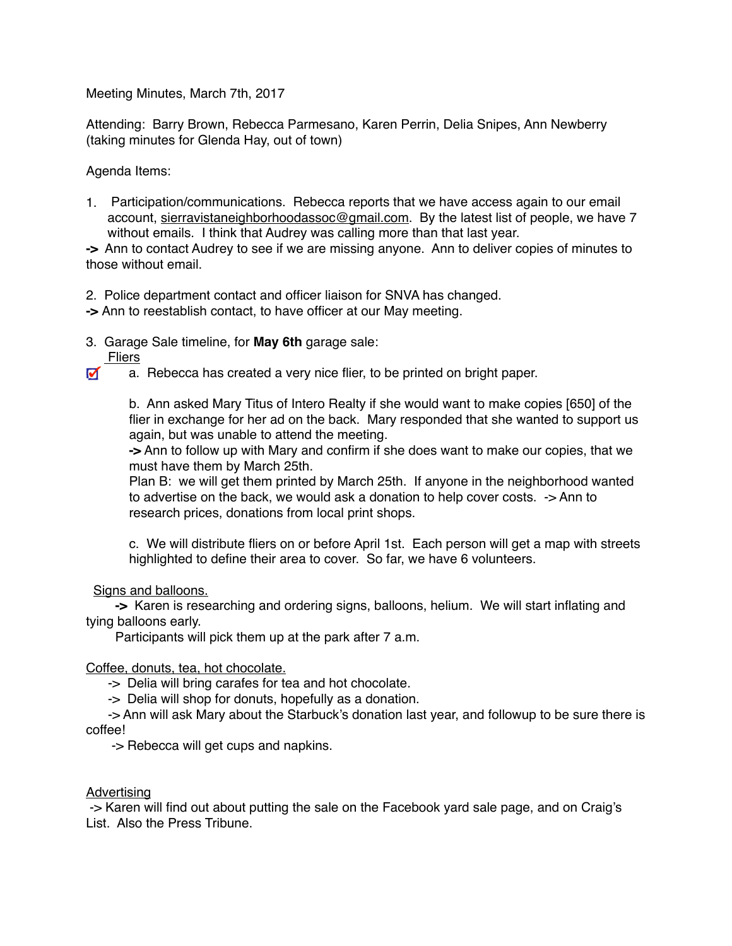Meeting Minutes, March 7th, 2017

Attending: Barry Brown, Rebecca Parmesano, Karen Perrin, Delia Snipes, Ann Newberry (taking minutes for Glenda Hay, out of town)

Agenda Items:

1. Participation/communications. Rebecca reports that we have access again to our email account, [sierravistaneighborhoodassoc@gmail.com](mailto:sierravistaneighborhoodassoc@gmail.com). By the latest list of people, we have 7 without emails. I think that Audrey was calling more than that last year.

**->** Ann to contact Audrey to see if we are missing anyone. Ann to deliver copies of minutes to those without email.

2. Police department contact and officer liaison for SNVA has changed.

- **->** Ann to reestablish contact, to have officer at our May meeting.
- 3. Garage Sale timeline, for **May 6th** garage sale:
- Fliers
- $\blacksquare$ a. Rebecca has created a very nice flier, to be printed on bright paper.

b. Ann asked Mary Titus of Intero Realty if she would want to make copies [650] of the flier in exchange for her ad on the back. Mary responded that she wanted to support us again, but was unable to attend the meeting.

**->** Ann to follow up with Mary and confirm if she does want to make our copies, that we must have them by March 25th.

Plan B: we will get them printed by March 25th. If anyone in the neighborhood wanted to advertise on the back, we would ask a donation to help cover costs. -> Ann to research prices, donations from local print shops.

c. We will distribute fliers on or before April 1st. Each person will get a map with streets highlighted to define their area to cover. So far, we have 6 volunteers.

Signs and balloons.

 **->** Karen is researching and ordering signs, balloons, helium. We will start inflating and tying balloons early.

Participants will pick them up at the park after 7 a.m.

Coffee, donuts, tea, hot chocolate.

-> Delia will bring carafes for tea and hot chocolate.

-> Delia will shop for donuts, hopefully as a donation.

 -> Ann will ask Mary about the Starbuck's donation last year, and followup to be sure there is coffee!

-> Rebecca will get cups and napkins.

## Advertising

 -> Karen will find out about putting the sale on the Facebook yard sale page, and on Craig's List. Also the Press Tribune.